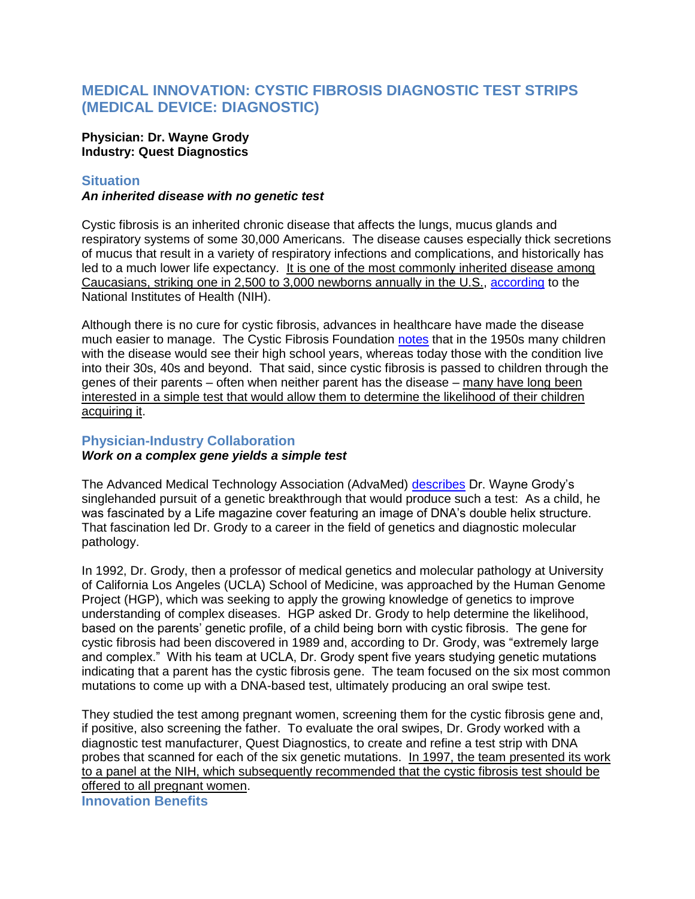# **MEDICAL INNOVATION: CYSTIC FIBROSIS DIAGNOSTIC TEST STRIPS (MEDICAL DEVICE: DIAGNOSTIC)**

### **Physician: Dr. Wayne Grody Industry: Quest Diagnostics**

### **Situation**

### *An inherited disease with no genetic test*

Cystic fibrosis is an inherited chronic disease that affects the lungs, mucus glands and respiratory systems of some 30,000 Americans. The disease causes especially thick secretions of mucus that result in a variety of respiratory infections and complications, and historically has led to a much lower life expectancy. It is one of the most commonly inherited disease among Caucasians, striking one in 2,500 to 3,000 newborns annually in the U.S., [according](http://ghr.nlm.nih.gov/condition/cystic-fibrosis) to the National Institutes of Health (NIH).

Although there is no cure for cystic fibrosis, advances in healthcare have made the disease much easier to manage. The Cystic Fibrosis Foundation [notes](http://www.cff.org/AboutCF/) that in the 1950s many children with the disease would see their high school years, whereas today those with the condition live into their 30s, 40s and beyond. That said, since cystic fibrosis is passed to children through the genes of their parents – often when neither parent has the disease – many have long been interested in a simple test that would allow them to determine the likelihood of their children acquiring it.

## **Physician-Industry Collaboration**

## *Work on a complex gene yields a simple test*

The Advanced Medical Technology Association (AdvaMed) [describes](http://www.lifechanginginnovation.org/our-stories/innovators/collaboration-produces-breakthrough-diagnostics) Dr. Wayne Grody's singlehanded pursuit of a genetic breakthrough that would produce such a test: As a child, he was fascinated by a Life magazine cover featuring an image of DNA's double helix structure. That fascination led Dr. Grody to a career in the field of genetics and diagnostic molecular pathology.

In 1992, Dr. Grody, then a professor of medical genetics and molecular pathology at University of California Los Angeles (UCLA) School of Medicine, was approached by the Human Genome Project (HGP), which was seeking to apply the growing knowledge of genetics to improve understanding of complex diseases. HGP asked Dr. Grody to help determine the likelihood, based on the parents' genetic profile, of a child being born with cystic fibrosis. The gene for cystic fibrosis had been discovered in 1989 and, according to Dr. Grody, was "extremely large and complex." With his team at UCLA, Dr. Grody spent five years studying genetic mutations indicating that a parent has the cystic fibrosis gene. The team focused on the six most common mutations to come up with a DNA-based test, ultimately producing an oral swipe test.

They studied the test among pregnant women, screening them for the cystic fibrosis gene and, if positive, also screening the father. To evaluate the oral swipes, Dr. Grody worked with a diagnostic test manufacturer, Quest Diagnostics, to create and refine a test strip with DNA probes that scanned for each of the six genetic mutations. In 1997, the team presented its work to a panel at the NIH, which subsequently recommended that the cystic fibrosis test should be offered to all pregnant women.

**Innovation Benefits**